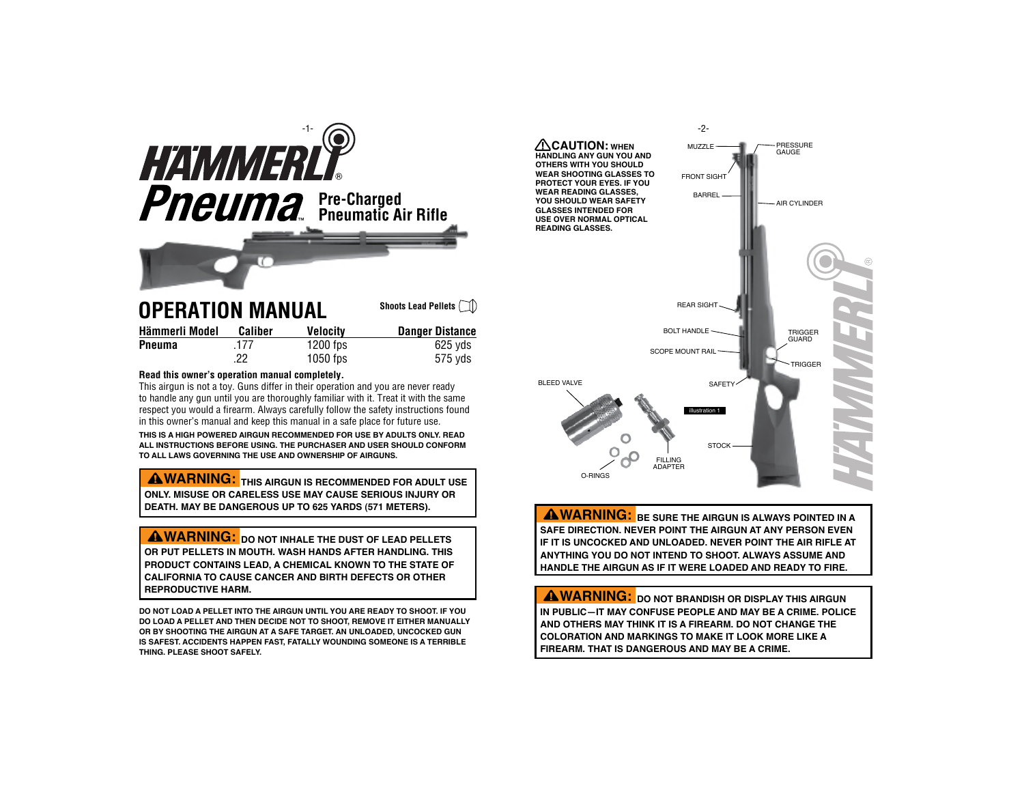

# **Operation Manual**

| Hämmerli Model | Caliber | <b>Velocity</b> | <b>Danger Distance</b> |
|----------------|---------|-----------------|------------------------|
| Pneuma         | .177    | $1200$ fps      | 625 vds                |
|                | 22      | $1050$ fps      | 575 yds                |

#### **Read this owner's operation manual completely.**

This airgun is not a toy. Guns differ in their operation and you are never ready to handle any gun until you are thoroughly familiar with it. Treat it with the same respect you would a firearm. Always carefully follow the safety instructions found in this owner's manual and keep this manual in a safe place for future use.

**This is a high POWERED airgun RECOMMENDED for use by ADULTS ONLY. Read all instructions before using. The purchaser and user should conform to all laws governing THE use and ownership of airguns.**

**AWARNING:** THIS AIRGUN IS RECOMMENDED FOR ADULT USE **ONLY. Misuse or careless use may cause serious injury or death. May be dangerous up to 625 yards (571 meters).**

 **WARNING: DO NOT INHALE THE DUST OF LEAD PELLETS OR PUT PELLETS IN MOUTH. WASH HANDS AFTER HANDLING. THIS PRODUCT CONTAINS LEAD, A CHEMICAL KNOWN TO THE STATE OF CALIFORNIA TO CAUSE CANCER AND BIRTH DEFECTS OR OTHER REPRODUCTIVE HARM.**

**Do not load a pellet into the AIRgun until you are ready to shoot. If you do load a pellet and then decide not to shoot, remove it either manually or by shooting the AIRGUN at a safe target. An unloaded, UNCOCKED GUN is safest. Accidents happen fast, FATALLY WOUNDING someone is a terrible thing. Please shoot safely.**



 **WARNING: Be sure the AIRGUN is always pointed in <sup>a</sup> safe direction. never point the AIRGUN at any person even if it is uncocked and unloaded. Never point the air rifle at anything you do not intend to shoot. always assume and handle the AIRGUN as if it were loaded and ready to fire.**

 **WARNING: DO NOT BRANDISH OR DISPLAY THIS AIRGUN IN PUBLIC—IT MAY CONFUSE PEOPLE AND MAY BE A CRIME. POLICE AND OTHERS MAY THINK IT IS A FIREARM. DO NOT CHANGE THE COLORATION AND MARKINGS TO MAKE IT LOOK MORE LIKE A FIREARM. THAT IS DANGEROUS AND MAY BE A CRIME.**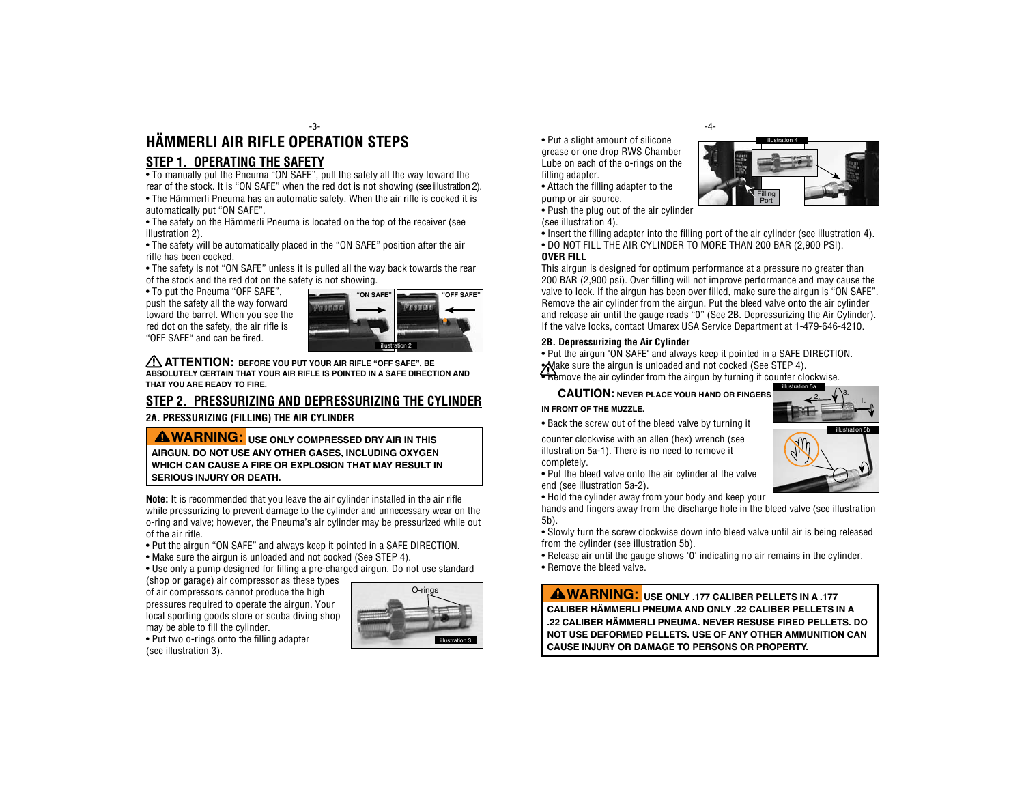# **HÄMMERLI AIR RIFLE OPERATION Steps** -3- -4-

## **Step 1. OPERATIng the Safety**

• To manually put the Pneuma "ON SAFE", pull the safety all the way toward the rear of the stock. It is "ON SAFE" when the red dot is not showing (see illustration 2). • The Hämmerli Pneuma has an automatic safety. When the air rifle is cocked it is automatically put "ON SAFE".

• The safety on the Hämmerli Pneuma is located on the top of the receiver (see illustration 2).

• The safety will be automatically placed in the "ON SAFE" position after the air rifle has been cocked.

• The safety is not "ON SAFE" unless it is pulled all the way back towards the rear of the stock and the red dot on the safety is not showing.

• To put the Pneuma "OFF SAFE", push the safety all the way forward toward the barrel. When you see the red dot on the safety, the air rifle is "OFF SAFE" and can be fired.



 **ATTENTION: Before you put your air rifle "OFF SAFE", be absolutely certain that your air rifle is pointed in a SAFE DIRECTION and that you are ready to fire.** 

## **Step 2. Pressurizing and depressurizing the CYLINDER**

**2A. Pressurizing (filling) the Air Cylinder**

 **WARNING: Use only compressed DRY air in this airgun. do not use any other gases, including oxygen which can cause a fire or explosion that may result in serious injury or death.**

**Note:** It is recommended that you leave the air cylinder installed in the air rifle while pressurizing to prevent damage to the cylinder and unnecessary wear on the o-ring and valve; however, the Pneuma's air cylinder may be pressurized while out of the air rifle.

- Put the airgun "ON SAFE" and always keep it pointed in a SAFE DIRECTION.
- Make sure the airgun is unloaded and not cocked (See STEP 4).
- Use only a pump designed for filling a pre-charged airgun. Do not use standard

(shop or garage) air compressor as these types of air compressors cannot produce the high pressures required to operate the airgun. Your local sporting goods store or scuba diving shop may be able to fill the cylinder.



• Put two o-rings onto the filling adapter (see illustration 3).

• Put a slight amount of silicone grease or one drop RWS Chamber Lube on each of the o-rings on the filling adapter.

• Attach the filling adapter to the pump or air source.

• Push the plug out of the air cylinder (see illustration 4).

• Insert the filling adapter into the filling port of the air cylinder (see illustration 4). • DO NOT FILL THE AIR CYLINDER TO MORE THAN 200 BAR (2,900 PSI).

#### **Over Fill**

This airgun is designed for optimum performance at a pressure no greater than 200 BAR (2,900 psi). Over filling will not improve performance and may cause the valve to lock. If the airgun has been over filled, make sure the airgun is "ON SAFE". Remove the air cylinder from the airgun. Put the bleed valve onto the air cylinder and release air until the gauge reads "0" (See 2B. Depressurizing the Air Cylinder). If the valve locks, contact Umarex USA Service Department at 1-479-646-4210.

#### **2B. Depressurizing the Air Cylinder**

• Put the airgun "ON SAFE" and always keep it pointed in a SAFE DIRECTION. Make sure the airgun is unloaded and not cocked (See STEP 4).  $\overline{\bullet}$  Remove the air cylinder from the airgun by turning it counter clockwise.

 **CAUTION: NEVER PLACE YOUR HAND OR FINGERS** 

# **IN FRONT OF THE MUZZLE.**

• Back the screw out of the bleed valve by turning it

counter clockwise with an allen (hex) wrench (see illustration 5a-1). There is no need to remove it completely.

• Put the bleed valve onto the air cylinder at the valve end (see illustration 5a-2).

• Hold the cylinder away from your body and keep your

hands and fingers away from the discharge hole in the bleed valve (see illustration 5b).

• Slowly turn the screw clockwise down into bleed valve until air is being released from the cylinder (see illustration 5b).

• Release air until the gauge shows '0' indicating no air remains in the cylinder. • Remove the bleed valve.

 **WARNING: Use only .177 caliber pellets in a .177 caliber Hämmerli Pneuma and only .22 caliber pellets in a .22 caliber Hämmerli pneuma. never resuse fired pellets. do not use deformed pellets. use of any other ammunition can cause injury or damage to persons or property.**

illustration 5b



illustration 4

Filling Port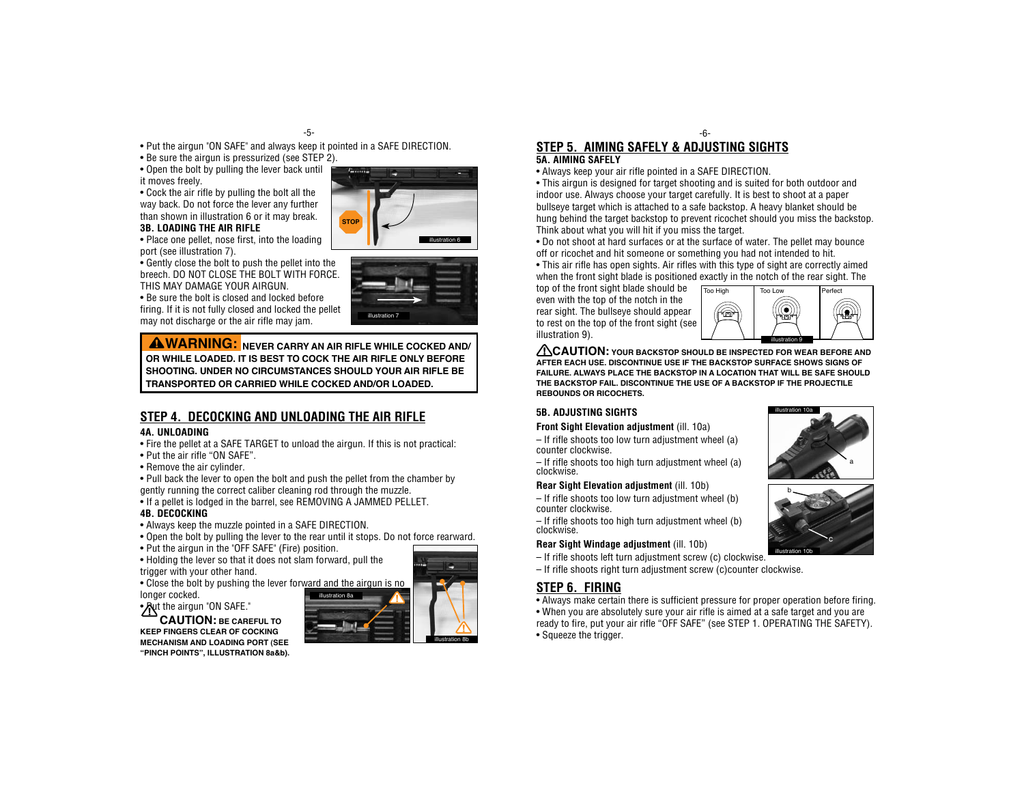• Put the airgun "ON SAFE" and always keep it pointed in a SAFE DIRECTION.

• Be sure the airgun is pressurized (see STEP 2).

• Open the bolt by pulling the lever back until it moves freely.

• Cock the air rifle by pulling the bolt all the way back. Do not force the lever any further than shown in illustration 6 or it may break.

**3B. LOADING THE AIR RIFLE**

• Place one pellet, nose first, into the loading port (see illustration 7).

• Gently close the bolt to push the pellet into the breech. DO NOT CLOSE THE BOLT WITH FORCE. THIS MAY DAMAGE YOUR AIRGUN.

• Be sure the bolt is closed and locked before firing. If it is not fully closed and locked the pellet may not discharge or the air rifle may jam.

 **WARNING: NEVER CARRY AN AIR RIFLE WHILE COCKED AND/ OR WHILE LOADED. IT IS BEST TO COCK THE AIR RIFLE ONLY BEFORE SHOOTING. UNDER NO CIRCUMSTANCES SHOULD YOUR AIR RIFLE BE TRANSPORTED OR CARRIED WHILE COCKED AND/OR LOADED.**

# **Step 4. DECOCKING AND UNloading THE air rifle**

## **4A. UNLOADING**

- Fire the pellet at a SAFE TARGET to unload the airgun. If this is not practical:
- Put the air rifle "ON SAFE".
- Remove the air cylinder.

• Pull back the lever to open the bolt and push the pellet from the chamber by gently running the correct caliber cleaning rod through the muzzle.

• If a pellet is lodged in the barrel, see REMOVING A JAMMED PELLET.

#### **4B. DECOCKING**

- Always keep the muzzle pointed in a SAFE DIRECTION.
- Open the bolt by pulling the lever to the rear until it stops. Do not force rearward.
- Put the airgun in the "OFF SAFE" (Fire) position.
- Holding the lever so that it does not slam forward, pull the trigger with your other hand.
- Close the bolt by pushing the lever forward and the airgun is no longer cocked.

• Put the airgun "ON SAFE."

 **CAUTION: Be careful to keep fingers clear of cocking mechanism AND LOADING PORT (see "Pinch Points", illustration 8a&b).**



# **Step 5. AimING SAFELY & Adjusting sights 5A. AIMING SAFELY**

• Always keep your air rifle pointed in a SAFE DIRECTION.

• This airgun is designed for target shooting and is suited for both outdoor and indoor use. Always choose your target carefully. It is best to shoot at a paper bullseye target which is attached to a safe backstop. A heavy blanket should be hung behind the target backstop to prevent ricochet should you miss the backstop. Think about what you will hit if you miss the target.

-6-

• Do not shoot at hard surfaces or at the surface of water. The pellet may bounce off or ricochet and hit someone or something you had not intended to hit.

• This air rifle has open sights. Air rifles with this type of sight are correctly aimed when the front sight blade is positioned exactly in the notch of the rear sight. The

top of the front sight blade should be even with the top of the notch in the rear sight. The bullseye should appear to rest on the top of the front sight (see illustration 9).



 **CAUTION: Your backstop should be inspected for wear before and after each use. Discontinue use if the backstop surface shows signs of failure. Always place the backstop in a location that will be safe should the backstop fail. Discontinue the use of a backstop if the projectile rebounds or ricochets.**

## **5B. ADJUSTING SIGHTS**

#### **Front Sight Elevation adjustment** (ill. 10a)

– If rifle shoots too low turn adjustment wheel (a) counter clockwise.

– If rifle shoots too high turn adjustment wheel (a) clockwise.

#### **Rear Sight Elevation adjustment** (ill. 10b)

– If rifle shoots too low turn adjustment wheel (b) counter clockwise.

– If rifle shoots too high turn adjustment wheel (b) clockwise.

#### **Rear Sight Windage adjustment** (ill. 10b)

– If rifle shoots left turn adjustment screw (c) clockwise.

– If rifle shoots right turn adjustment screw (c)counter clockwise.

# **Step 6. FIRING**

• Always make certain there is sufficient pressure for proper operation before firing. • When you are absolutely sure your air rifle is aimed at a safe target and you are ready to fire, put your air rifle "OFF SAFE" (see STEP 1. OPERATING THE SAFETY). • Squeeze the trigger.







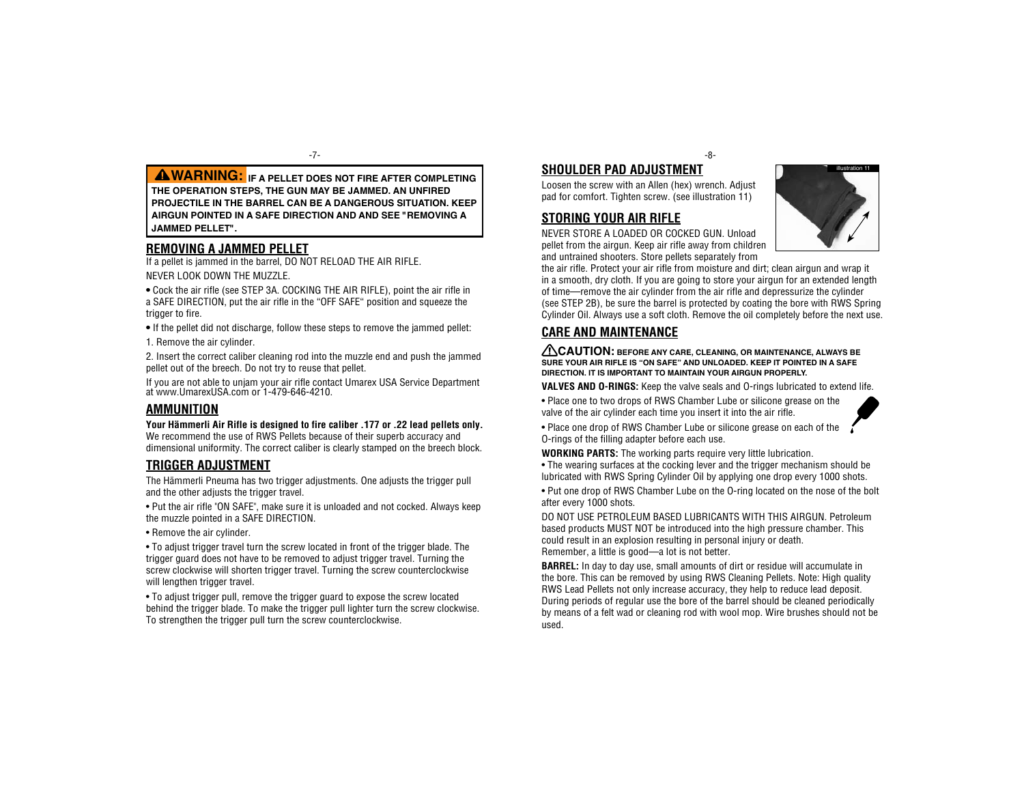**WARNING: If a pellet does not fire after completing the operation steps, the gun may be jammed. An unfired projectile in the barrel can be a dangerous situation. Keep AIRgun pointed in a safe direction and AND SEE "REMOVING A JAMMED PELLET".**

### **REMOVING A JAMMED PELLET**

If a pellet is jammed in the barrel, DO NOT RELOAD THE AIR RIFLE. NEVER LOOK DOWN THE MUZZLE.

• Cock the air rifle (see STEP 3A, COCKING THE AIR RIFLE), point the air rifle in a SAFE DIRECTION, put the air rifle in the "OFF SAFE" position and squeeze the trigger to fire.

• If the pellet did not discharge, follow these steps to remove the jammed pellet:

1. Remove the air cylinder.

2. Insert the correct caliber cleaning rod into the muzzle end and push the jammed pellet out of the breech. Do not try to reuse that pellet.

If you are not able to unjam your air rifle contact Umarex USA Service Department at www.UmarexUSA.com or 1-479-646-4210.

## **Ammunition**

**Your Hämmerli Air Rifle is designed to fire caliber .177 or .22 lead pellets only.** We recommend the use of RWS Pellets because of their superb accuracy and dimensional uniformity. The correct caliber is clearly stamped on the breech block.

## **Trigger adjustment**

The Hämmerli Pneuma has two trigger adjustments. One adjusts the trigger pull and the other adjusts the trigger travel.

• Put the air rifle "ON SAFE", make sure it is unloaded and not cocked. Always keep the muzzle pointed in a SAFE DIRECTION.

• Remove the air cylinder.

• To adjust trigger travel turn the screw located in front of the trigger blade. The trigger guard does not have to be removed to adjust trigger travel. Turning the screw clockwise will shorten trigger travel. Turning the screw counterclockwise will lengthen trigger travel.

• To adjust trigger pull, remove the trigger guard to expose the screw located behind the trigger blade. To make the trigger pull lighter turn the screw clockwise. To strengthen the trigger pull turn the screw counterclockwise.

-7- -8-

**SHOULDER PAD adjustment** Loosen the screw with an Allen (hex) wrench. Adjust

pad for comfort. Tighten screw. (see illustration 11)

## **Storing your air rifle**

NEVER STORE A LOADED OR COCKED GUN. Unload pellet from the airgun. Keep air rifle away from children and untrained shooters. Store pellets separately from

the air rifle. Protect your air rifle from moisture and dirt; clean airgun and wrap it in a smooth, dry cloth. If you are going to store your airgun for an extended length of time—remove the air cylinder from the air rifle and depressurize the cylinder (see STEP 2B), be sure the barrel is protected by coating the bore with RWS Spring Cylinder Oil. Always use a soft cloth. Remove the oil completely before the next use.

# **care and maintenance**

 **CAUTION: Before any care, cleaning, or maintenance, always be sure your air rifle is "ON SAFE" and unloaded. Keep it pointed in a SAFE DIRECTION. It is important to maintain your airgun properly.**

**Valves and O-rings:** Keep the valve seals and O-rings lubricated to extend life.

• Place one to two drops of RWS Chamber Lube or silicone grease on the valve of the air cylinder each time you insert it into the air rifle.

• Place one drop of RWS Chamber Lube or silicone grease on each of the O-rings of the filling adapter before each use.

**WORKING PARTS:** The working parts require very little lubrication.

• The wearing surfaces at the cocking lever and the trigger mechanism should be lubricated with RWS Spring Cylinder Oil by applying one drop every 1000 shots.

• Put one drop of RWS Chamber Lube on the O-ring located on the nose of the bolt after every 1000 shots.

DO NOT USE PETROLEUM BASED LUBRICANTS WITH THIS AIRGUN. Petroleum based products MUST NOT be introduced into the high pressure chamber. This could result in an explosion resulting in personal injury or death. Remember, a little is good—a lot is not better.

**BARREL:** In day to day use, small amounts of dirt or residue will accumulate in the bore. This can be removed by using RWS Cleaning Pellets. Note: High quality RWS Lead Pellets not only increase accuracy, they help to reduce lead deposit. During periods of regular use the bore of the barrel should be cleaned periodically by means of a felt wad or cleaning rod with wool mop. Wire brushes should not be used.